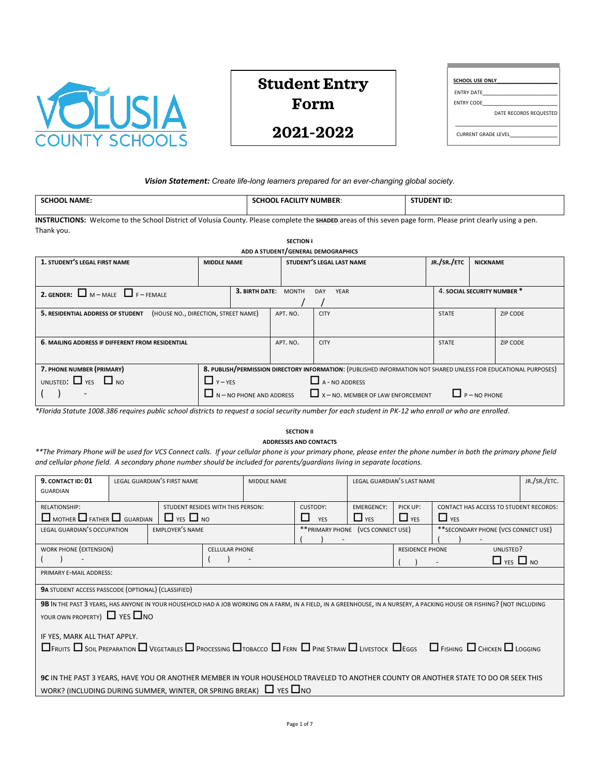

# **Student Entry Form**

| <b>SCHOOL USE ONLY</b>     |                        |
|----------------------------|------------------------|
| <b>FNTRY DATE</b>          |                        |
| <b>ENTRY CODE</b>          |                        |
|                            | DATE RECORDS REQUESTED |
| <b>CURRENT GRADE LEVEL</b> |                        |

## *Vision Statement: Create life-long learners prepared for an ever-changing global society.*

| NAME. | <b>FACIL</b><br><b>NUMBER:</b> | <b>JDENT ID</b> |
|-------|--------------------------------|-----------------|
|       |                                |                 |

**INSTRUCTIONS:** Welcome to the School District of Volusia County. Please complete the **SHADED** areas of this seven page form. Please print clearly using a pen. Thank you.

| <b>SECTION I</b>                                                                                                                             |                    |                                                                          |              |                           |  |                             |                 |                 |  |
|----------------------------------------------------------------------------------------------------------------------------------------------|--------------------|--------------------------------------------------------------------------|--------------|---------------------------|--|-----------------------------|-----------------|-----------------|--|
| ADD A STUDENT/GENERAL DEMOGRAPHICS                                                                                                           |                    |                                                                          |              |                           |  |                             |                 |                 |  |
| 1. STUDENT'S LEGAL FIRST NAME                                                                                                                | <b>MIDDLE NAME</b> |                                                                          |              | STUDENT'S LEGAL LAST NAME |  | JR./SR./ETC                 | <b>NICKNAME</b> |                 |  |
|                                                                                                                                              |                    |                                                                          |              |                           |  |                             |                 |                 |  |
|                                                                                                                                              |                    |                                                                          |              |                           |  |                             |                 |                 |  |
| <b>2. GENDER:</b> $M - MALE$ $F - FEMALE$                                                                                                    |                    | 3. BIRTH DATE:                                                           | <b>MONTH</b> | DAY<br><b>YEAR</b>        |  | 4. SOCIAL SECURITY NUMBER * |                 |                 |  |
|                                                                                                                                              |                    |                                                                          |              |                           |  |                             |                 |                 |  |
| (HOUSE NO., DIRECTION, STREET NAME)<br>5. RESIDENTIAL ADDRESS OF STUDENT                                                                     |                    |                                                                          |              | <b>CITY</b>               |  | <b>STATE</b>                |                 | <b>ZIP CODE</b> |  |
|                                                                                                                                              |                    |                                                                          |              |                           |  |                             |                 |                 |  |
|                                                                                                                                              |                    |                                                                          |              |                           |  |                             |                 |                 |  |
| 6. MAILING ADDRESS IF DIFFERENT FROM RESIDENTIAL                                                                                             |                    |                                                                          | APT. NO.     | <b>CITY</b>               |  | <b>STATE</b>                |                 | <b>ZIP CODE</b> |  |
|                                                                                                                                              |                    |                                                                          |              |                           |  |                             |                 |                 |  |
|                                                                                                                                              |                    |                                                                          |              |                           |  |                             |                 |                 |  |
| 7. PHONE NUMBER (PRIMARY)<br>8. PUBLISH/PERMISSION DIRECTORY INFORMATION: (PUBLISHED INFORMATION NOT SHARED UNLESS FOR EDUCATIONAL PURPOSES) |                    |                                                                          |              |                           |  |                             |                 |                 |  |
| UNLISTED: $\Box$ YES $\Box$ NO                                                                                                               | $\prod$ Y – YES    |                                                                          |              | $\Box$ A - NO ADDRESS     |  |                             |                 |                 |  |
|                                                                                                                                              |                    | $\Box$ N – NO PHONE AND ADDRESS $\Box$ X – NO. MEMBER OF LAW ENFORCEMENT |              | $\Box$ P – NO PHONE       |  |                             |                 |                 |  |
|                                                                                                                                              |                    |                                                                          |              |                           |  |                             |                 |                 |  |

*\*Florida Statute 1008.386 requires public school districts to request a social security number for each student in PK-12 who enroll or who are enrolled*.

# **SECTION II**

**ADDRESSES AND CONTACTS**

*\*\*The Primary Phone will be used for VCS Connect calls. If your cellular phone is your primary phone, please enter the phone number in both the primary phone field and cellular phone field. A secondary phone number should be included for parents/guardians living in separate locations.*

| 9. CONTACT ID: 01<br><b>GUARDIAN</b>                                          | LEGAL GUARDIAN'S FIRST NAME                               | <b>MIDDLE NAME</b>    |  |                                    | LEGAL GUARDIAN'S LAST NAME      |                        |                                                                                                                                                                                                  | JR./SR./ETC. |  |
|-------------------------------------------------------------------------------|-----------------------------------------------------------|-----------------------|--|------------------------------------|---------------------------------|------------------------|--------------------------------------------------------------------------------------------------------------------------------------------------------------------------------------------------|--------------|--|
| RELATIONSHIP:<br>$\Box$ MOTHER $\Box$ FATHER $\Box$ GUARDIAN                  | STUDENT RESIDES WITH THIS PERSON:<br>$\Box$ YES $\Box$ NO |                       |  | CUSTODY:<br>ΙI<br><b>YES</b>       | <b>EMERGENCY:</b><br>$\Box$ YES | PICK UP:<br>$\Box$ YES | <b>CONTACT HAS ACCESS TO STUDENT RECORDS:</b>                                                                                                                                                    |              |  |
| <b>LEGAL GUARDIAN'S OCCUPATION</b>                                            | <b>EMPLOYER'S NAME</b>                                    |                       |  | ** PRIMARY PHONE (VCS CONNECT USE) |                                 |                        | ** SECONDARY PHONE (VCS CONNECT USE)                                                                                                                                                             |              |  |
| WORK PHONE (EXTENSION)                                                        |                                                           | <b>CELLULAR PHONE</b> |  |                                    |                                 | <b>RESIDENCE PHONE</b> | UNLISTED?                                                                                                                                                                                        |              |  |
|                                                                               |                                                           |                       |  |                                    |                                 |                        | $\Box$ YES $\Box$ NO                                                                                                                                                                             |              |  |
| PRIMARY E-MAIL ADDRESS:                                                       |                                                           |                       |  |                                    |                                 |                        |                                                                                                                                                                                                  |              |  |
| 9A STUDENT ACCESS PASSCODE (OPTIONAL) (CLASSIFIED)                            |                                                           |                       |  |                                    |                                 |                        |                                                                                                                                                                                                  |              |  |
| YOUR OWN PROPERTY) $\Box$ YES $\Box$ NO                                       |                                                           |                       |  |                                    |                                 |                        | 9B IN THE PAST 3 YEARS, HAS ANYONE IN YOUR HOUSEHOLD HAD A JOB WORKING ON A FARM, IN A FIELD, IN A GREENHOUSE, IN A NURSERY, A PACKING HOUSE OR FISHING? (NOT INCLUDING                          |              |  |
| IF YES, MARK ALL THAT APPLY.                                                  |                                                           |                       |  |                                    |                                 |                        |                                                                                                                                                                                                  |              |  |
|                                                                               |                                                           |                       |  |                                    |                                 |                        | $\Box$ Fruits $\Box$ Soil Preparation $\Box$ Vegetables $\Box$ Processing $\Box$ tobacco $\Box$ Fern $\Box$ Pine Straw $\Box$ Livestock $\Box$ Eggs $\Box$ Fishing $\Box$ Chicken $\Box$ Logging |              |  |
|                                                                               |                                                           |                       |  |                                    |                                 |                        |                                                                                                                                                                                                  |              |  |
|                                                                               |                                                           |                       |  |                                    |                                 |                        | 9C IN THE PAST 3 YEARS, HAVE YOU OR ANOTHER MEMBER IN YOUR HOUSEHOLD TRAVELED TO ANOTHER COUNTY OR ANOTHER STATE TO DO OR SEEK THIS                                                              |              |  |
| WORK? (INCLUDING DURING SUMMER, WINTER, OR SPRING BREAK) $\Box$ YES $\Box$ NO |                                                           |                       |  |                                    |                                 |                        |                                                                                                                                                                                                  |              |  |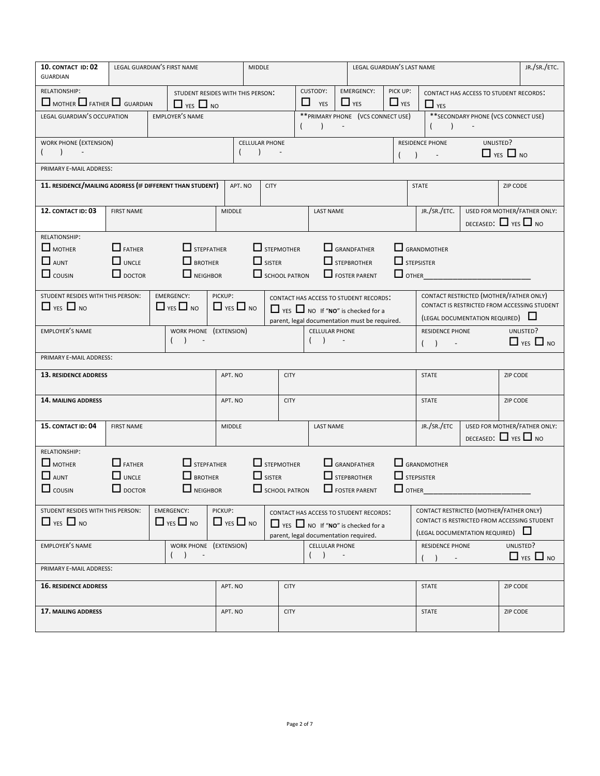| 10. CONTACT ID: 02<br><b>GUARDIAN</b>                          |                                                                                                                                                                         | LEGAL GUARDIAN'S FIRST NAME                                         |                                 | <b>MIDDLE</b>                                              |             | LEGAL GUARDIAN'S LAST NAME                  |                          |                                                                                                                                          |                        |                                   |                                                                                                                           |                                | JR./SR./ETC.         |                                   |
|----------------------------------------------------------------|-------------------------------------------------------------------------------------------------------------------------------------------------------------------------|---------------------------------------------------------------------|---------------------------------|------------------------------------------------------------|-------------|---------------------------------------------|--------------------------|------------------------------------------------------------------------------------------------------------------------------------------|------------------------|-----------------------------------|---------------------------------------------------------------------------------------------------------------------------|--------------------------------|----------------------|-----------------------------------|
| RELATIONSHIP:<br>$\Box$ MOTHER $\Box$ FATHER $\Box$ GUARDIAN   |                                                                                                                                                                         | STUDENT RESIDES WITH THIS PERSON:<br>$\Box$ yes $\Box$ No           |                                 |                                                            |             | <b>CUSTODY:</b><br>$\Box$ YES               |                          | <b>EMERGENCY:</b><br>$\Box$ YES                                                                                                          | PICK UP:<br>$\Box$ YES |                                   | CONTACT HAS ACCESS TO STUDENT RECORDS:<br>$\Box$ YES                                                                      |                                |                      |                                   |
|                                                                | ** SECONDARY PHONE (VCS CONNECT USE)<br>** PRIMARY PHONE (VCS CONNECT USE)<br>LEGAL GUARDIAN'S OCCUPATION<br><b>EMPLOYER'S NAME</b><br>$\blacksquare$<br>(<br>$\lambda$ |                                                                     |                                 |                                                            |             |                                             |                          |                                                                                                                                          |                        |                                   |                                                                                                                           |                                |                      |                                   |
| WORK PHONE (EXTENSION)                                         |                                                                                                                                                                         |                                                                     |                                 | <b>CELLULAR PHONE</b><br>$\lambda$                         |             |                                             |                          |                                                                                                                                          |                        |                                   | RESIDENCE PHONE<br>$\sim$                                                                                                 | UNLISTED?                      | $\Box$ YES $\Box$ NO |                                   |
| PRIMARY E-MAIL ADDRESS:                                        |                                                                                                                                                                         |                                                                     |                                 |                                                            |             |                                             |                          |                                                                                                                                          |                        |                                   |                                                                                                                           |                                |                      |                                   |
| 11. RESIDENCE/MAILING ADDRESS (IF DIFFERENT THAN STUDENT)      |                                                                                                                                                                         |                                                                     | APT. NO                         | <b>CITY</b>                                                |             |                                             |                          |                                                                                                                                          |                        |                                   | <b>STATE</b>                                                                                                              |                                | ZIP CODE             |                                   |
| 12. CONTACT ID: 03                                             | <b>FIRST NAME</b>                                                                                                                                                       |                                                                     | <b>MIDDLE</b>                   |                                                            |             | <b>LAST NAME</b>                            |                          |                                                                                                                                          |                        |                                   | JR./SR./ETC.                                                                                                              | DECEASED: $\Box$ YES $\Box$ NO |                      | USED FOR MOTHER/FATHER ONLY:      |
| RELATIONSHIP:<br>$\Box$ MOTHER<br>$\Box$ AUNT<br>$\Box$ cousin | $\Box$ FATHER<br>$\Box$ UNCLE<br>$\Box$ DOCTOR                                                                                                                          | $\Box$ STEPFATHER<br>$\Box$ BROTHER<br>NEIGHBOR                     |                                 | $\Box$ STEPMOTHER<br>$\Box$ SISTER<br>SCHOOL PATRON        |             |                                             |                          | $\Box$ GRANDFATHER<br>$\Box$ STEPBROTHER<br>FOSTER PARENT                                                                                |                        | $\Box$ STEPSISTER<br>$\Box$ OTHER | GRANDMOTHER                                                                                                               |                                |                      |                                   |
| STUDENT RESIDES WITH THIS PERSON:<br>$\Box$ YES $\Box$ NO      |                                                                                                                                                                         | <b>EMERGENCY:</b><br>$\Box$ YES $\Box$ NO                           | PICKUP:<br>$\Box$ YES $\Box$ NO |                                                            |             |                                             |                          | CONTACT HAS ACCESS TO STUDENT RECORDS:<br>$\Box$ YES $\Box$ NO If "NO" is checked for a<br>parent, legal documentation must be required. |                        |                                   | CONTACT RESTRICTED (MOTHER/FATHER ONLY)<br>CONTACT IS RESTRICTED FROM ACCESSING STUDENT<br>(LEGAL DOCUMENTATION REQUIRED) |                                |                      |                                   |
| EMPLOYER'S NAME                                                |                                                                                                                                                                         | WORK PHONE (EXTENSION)<br>$\rightarrow$                             |                                 |                                                            |             | <b>CELLULAR PHONE</b><br>(                  |                          |                                                                                                                                          |                        |                                   | RESIDENCE PHONE<br>$( )$ -                                                                                                |                                |                      | UNLISTED?<br>$\Box$ YES $\Box$ NO |
| PRIMARY E-MAIL ADDRESS:                                        |                                                                                                                                                                         |                                                                     |                                 |                                                            |             |                                             |                          |                                                                                                                                          |                        |                                   |                                                                                                                           |                                |                      |                                   |
| 13. RESIDENCE ADDRESS                                          |                                                                                                                                                                         |                                                                     | APT. NO                         |                                                            | <b>CITY</b> |                                             |                          |                                                                                                                                          |                        |                                   | <b>STATE</b>                                                                                                              |                                | <b>ZIP CODE</b>      |                                   |
| 14. MAILING ADDRESS                                            |                                                                                                                                                                         |                                                                     | APT. NO                         |                                                            | <b>CITY</b> |                                             |                          |                                                                                                                                          |                        |                                   | <b>STATE</b>                                                                                                              |                                | ZIP CODE             |                                   |
| 15. CONTACT ID: 04                                             | <b>FIRST NAME</b>                                                                                                                                                       |                                                                     | <b>MIDDLE</b>                   |                                                            |             | <b>LAST NAME</b>                            |                          |                                                                                                                                          |                        |                                   | JR./SR./ETC                                                                                                               | DECEASED: $\Box$ YES $\Box$ NO |                      | USED FOR MOTHER/FATHER ONLY:      |
| RELATIONSHIP:<br>$\Box$ MOTHER<br>$\Box$ AUNT<br>$\Box$ cousin | $\Box$ FATHER<br>$\Box$ UNCLE<br>$\Box$ DOCTOR                                                                                                                          | $\Box$ STEPFATHER<br>$\Box$ BROTHER<br>$\Box$ NEIGHBOR              |                                 | $\Box$ STEPMOTHER<br>$\Box$ SISTER<br>$\Box$ SCHOOL PATRON |             |                                             |                          | $\Box$ GRANDFATHER<br>$\Box$ STEPBROTHER<br>$\Box$ FOSTER PARENT                                                                         |                        | $\Box$ STEPSISTER<br>$\Box$ OTHER | $\Box$ GRANDMOTHER                                                                                                        |                                |                      |                                   |
| STUDENT RESIDES WITH THIS PERSON:<br>$\Box$ YES $\Box$ NO      |                                                                                                                                                                         | <b>EMERGENCY:</b><br>$\Box$ YES $\Box$ NO                           | PICKUP:<br>$\Box$ YES $\Box$ NO |                                                            |             | parent, legal documentation required.       |                          | <b>CONTACT HAS ACCESS TO STUDENT RECORDS:</b><br>$\Box$ YES $\Box$ NO If "NO" is checked for a                                           |                        |                                   | CONTACT RESTRICTED (MOTHER/FATHER ONLY)<br>CONTACT IS RESTRICTED FROM ACCESSING STUDENT<br>(LEGAL DOCUMENTATION REQUIRED) |                                |                      |                                   |
| <b>EMPLOYER'S NAME</b>                                         |                                                                                                                                                                         | WORK PHONE (EXTENSION)<br>$\rightarrow$<br>$\overline{\phantom{a}}$ |                                 |                                                            |             | <b>CELLULAR PHONE</b><br>$\rightarrow$<br>( | $\overline{\phantom{a}}$ |                                                                                                                                          |                        |                                   | RESIDENCE PHONE                                                                                                           |                                | UNLISTED?            | $\Box$ YES $\Box$ NO              |
| PRIMARY E-MAIL ADDRESS:                                        |                                                                                                                                                                         |                                                                     |                                 |                                                            |             |                                             |                          |                                                                                                                                          |                        |                                   |                                                                                                                           |                                |                      |                                   |
| <b>16. RESIDENCE ADDRESS</b>                                   |                                                                                                                                                                         |                                                                     | APT. NO                         |                                                            | <b>CITY</b> |                                             |                          |                                                                                                                                          |                        |                                   | <b>STATE</b>                                                                                                              |                                | <b>ZIP CODE</b>      |                                   |
| <b>17. MAILING ADDRESS</b>                                     |                                                                                                                                                                         |                                                                     | APT. NO                         |                                                            | <b>CITY</b> |                                             |                          |                                                                                                                                          |                        |                                   | <b>STATE</b>                                                                                                              |                                | <b>ZIP CODE</b>      |                                   |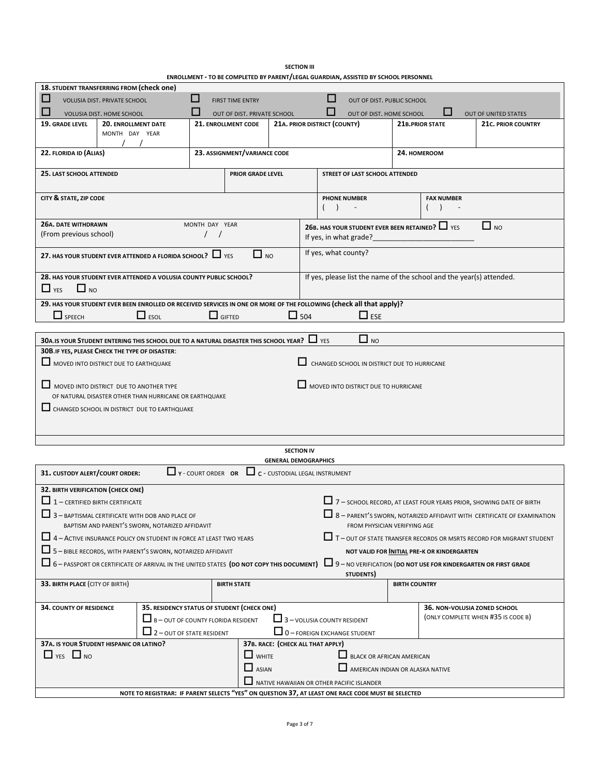| <b>SECTION III</b>                                                                  |
|-------------------------------------------------------------------------------------|
| ENROLLMENT - TO BE COMPLETED BY PARENT/LEGAL GUARDIAN, ASSISTED BY SCHOOL PERSONNEL |

| 18. STUDENT TRANSFERRING FROM (check one)                                                                                                                                                                     |                                                                                                              |                                                                            |                                    |                                   |  |                      |                                             |                      |                                                                      |                                                                              |
|---------------------------------------------------------------------------------------------------------------------------------------------------------------------------------------------------------------|--------------------------------------------------------------------------------------------------------------|----------------------------------------------------------------------------|------------------------------------|-----------------------------------|--|----------------------|---------------------------------------------|----------------------|----------------------------------------------------------------------|------------------------------------------------------------------------------|
| ш<br><b>VOLUSIA DIST, PRIVATE SCHOOL</b>                                                                                                                                                                      |                                                                                                              | ப<br>$\mathbf{I}$<br><b>FIRST TIME ENTRY</b><br>OUT OF DIST. PUBLIC SCHOOL |                                    |                                   |  |                      |                                             |                      |                                                                      |                                                                              |
| VOLUSIA DIST. HOME SCHOOL                                                                                                                                                                                     |                                                                                                              |                                                                            | <b>OUT OF DIST, PRIVATE SCHOOL</b> |                                   |  |                      | OUT OF DIST. HOME SCHOOL                    |                      |                                                                      | <b>OUT OF UNITED STATES</b>                                                  |
| 19. GRADE LEVEL<br><b>20. ENROLLMENT DATE</b>                                                                                                                                                                 |                                                                                                              |                                                                            | 21. ENROLLMENT CODE                | 21A. PRIOR DISTRICT (COUNTY)      |  |                      |                                             |                      | 21B.PRIOR STATE                                                      | <b>21c. PRIOR COUNTRY</b>                                                    |
| MONTH DAY YEAR                                                                                                                                                                                                |                                                                                                              |                                                                            |                                    |                                   |  |                      |                                             |                      |                                                                      |                                                                              |
|                                                                                                                                                                                                               |                                                                                                              |                                                                            |                                    |                                   |  |                      |                                             |                      |                                                                      |                                                                              |
| 22. FLORIDA ID (ALIAS)                                                                                                                                                                                        |                                                                                                              | 23. ASSIGNMENT/VARIANCE CODE<br>24. HOMEROOM                               |                                    |                                   |  |                      |                                             |                      |                                                                      |                                                                              |
| 25. LAST SCHOOL ATTENDED                                                                                                                                                                                      |                                                                                                              |                                                                            | PRIOR GRADE LEVEL                  |                                   |  |                      | STREET OF LAST SCHOOL ATTENDED              |                      |                                                                      |                                                                              |
| CITY & STATE, ZIP CODE                                                                                                                                                                                        | <b>PHONE NUMBER</b><br>(                                                                                     |                                                                            |                                    |                                   |  |                      |                                             |                      | <b>FAX NUMBER</b>                                                    |                                                                              |
|                                                                                                                                                                                                               | <b>26A. DATE WITHDRAWN</b><br>MONTH DAY YEAR<br>$\Box$ NO<br>26B. HAS YOUR STUDENT EVER BEEN RETAINED? I YES |                                                                            |                                    |                                   |  |                      |                                             |                      |                                                                      |                                                                              |
| (From previous school)                                                                                                                                                                                        |                                                                                                              |                                                                            |                                    | If yes, in what grade?            |  |                      |                                             |                      |                                                                      |                                                                              |
| 27. HAS YOUR STUDENT EVER ATTENDED A FLORIDA SCHOOL? $\Box$ YES                                                                                                                                               |                                                                                                              |                                                                            | $\Box$ NO                          |                                   |  | If yes, what county? |                                             |                      |                                                                      |                                                                              |
| 28. HAS YOUR STUDENT EVER ATTENDED A VOLUSIA COUNTY PUBLIC SCHOOL?<br>$\Box$ NO<br>$\Box$ YES                                                                                                                 |                                                                                                              |                                                                            |                                    |                                   |  |                      |                                             |                      | If yes, please list the name of the school and the year(s) attended. |                                                                              |
|                                                                                                                                                                                                               |                                                                                                              |                                                                            |                                    |                                   |  |                      |                                             |                      |                                                                      |                                                                              |
| 29. HAS YOUR STUDENT EVER BEEN ENROLLED OR RECEIVED SERVICES IN ONE OR MORE OF THE FOLLOWING (Check all that apply)?<br>$\Box$ SPEECH                                                                         | $\Box$ ESOL                                                                                                  | $\Box$ GIFTED                                                              |                                    | $\Box$ 504                        |  |                      | $\Box$ ESE                                  |                      |                                                                      |                                                                              |
|                                                                                                                                                                                                               |                                                                                                              |                                                                            |                                    |                                   |  |                      |                                             |                      |                                                                      |                                                                              |
| 30A. IS YOUR STUDENT ENTERING THIS SCHOOL DUE TO A NATURAL DISASTER THIS SCHOOL YEAR? $\Box$ YES                                                                                                              |                                                                                                              |                                                                            |                                    |                                   |  |                      | $\Box$ NO                                   |                      |                                                                      |                                                                              |
| 30B. IF YES, PLEASE CHECK THE TYPE OF DISASTER:                                                                                                                                                               |                                                                                                              |                                                                            |                                    |                                   |  |                      |                                             |                      |                                                                      |                                                                              |
| MOVED INTO DISTRICT DUE TO EARTHQUAKE                                                                                                                                                                         |                                                                                                              |                                                                            |                                    |                                   |  |                      | CHANGED SCHOOL IN DISTRICT DUE TO HURRICANE |                      |                                                                      |                                                                              |
|                                                                                                                                                                                                               |                                                                                                              |                                                                            |                                    |                                   |  |                      |                                             |                      |                                                                      |                                                                              |
| MOVED INTO DISTRICT DUE TO ANOTHER TYPE                                                                                                                                                                       |                                                                                                              |                                                                            |                                    |                                   |  |                      | MOVED INTO DISTRICT DUE TO HURRICANE        |                      |                                                                      |                                                                              |
| OF NATURAL DISASTER OTHER THAN HURRICANE OR EARTHQUAKE                                                                                                                                                        |                                                                                                              |                                                                            |                                    |                                   |  |                      |                                             |                      |                                                                      |                                                                              |
| CHANGED SCHOOL IN DISTRICT DUE TO EARTHQUAKE                                                                                                                                                                  |                                                                                                              |                                                                            |                                    |                                   |  |                      |                                             |                      |                                                                      |                                                                              |
|                                                                                                                                                                                                               |                                                                                                              |                                                                            |                                    |                                   |  |                      |                                             |                      |                                                                      |                                                                              |
|                                                                                                                                                                                                               |                                                                                                              |                                                                            |                                    |                                   |  |                      |                                             |                      |                                                                      |                                                                              |
|                                                                                                                                                                                                               |                                                                                                              |                                                                            |                                    |                                   |  |                      |                                             |                      |                                                                      |                                                                              |
| <b>SECTION IV</b><br><b>GENERAL DEMOGRAPHICS</b>                                                                                                                                                              |                                                                                                              |                                                                            |                                    |                                   |  |                      |                                             |                      |                                                                      |                                                                              |
| $\Box$ Y - COURT ORDER OR<br>$\Box$ $c$ - CUSTODIAL LEGAL INSTRUMENT<br>31. CUSTODY ALERT/COURT ORDER:                                                                                                        |                                                                                                              |                                                                            |                                    |                                   |  |                      |                                             |                      |                                                                      |                                                                              |
| 32. BIRTH VERIFICATION (CHECK ONE)                                                                                                                                                                            |                                                                                                              |                                                                            |                                    |                                   |  |                      |                                             |                      |                                                                      |                                                                              |
| $\Box$ 1 – CERTIFIED BIRTH CERTIFICATE                                                                                                                                                                        |                                                                                                              |                                                                            |                                    |                                   |  |                      |                                             |                      |                                                                      | 7 - SCHOOL RECORD, AT LEAST FOUR YEARS PRIOR, SHOWING DATE OF BIRTH          |
|                                                                                                                                                                                                               |                                                                                                              |                                                                            |                                    |                                   |  |                      |                                             |                      |                                                                      |                                                                              |
| 8 - PARENT'S SWORN, NOTARIZED AFFIDAVIT WITH CERTIFICATE OF EXAMINATION<br>3 - BAPTISMAL CERTIFICATE WITH DOB AND PLACE OF<br>BAPTISM AND PARENT'S SWORN, NOTARIZED AFFIDAVIT<br>FROM PHYSICIAN VERIFYING AGE |                                                                                                              |                                                                            |                                    |                                   |  |                      |                                             |                      |                                                                      |                                                                              |
| 4 - ACTIVE INSURANCE POLICY ON STUDENT IN FORCE AT LEAST TWO YEARS                                                                                                                                            |                                                                                                              |                                                                            |                                    |                                   |  |                      |                                             |                      |                                                                      | $\Box$ T - out of state transfer records or msrts record for migrant student |
| 5 - BIBLE RECORDS, WITH PARENT'S SWORN, NOTARIZED AFFIDAVIT                                                                                                                                                   |                                                                                                              |                                                                            |                                    |                                   |  |                      |                                             |                      | NOT VALID FOR INITIAL PRE-K OR KINDERGARTEN                          |                                                                              |
| $\Box$ 6 – PASSPORT OR CERTIFICATE OF ARRIVAL IN THE UNITED STATES (DO NOT COPY THIS DOCUMENT)                                                                                                                |                                                                                                              |                                                                            |                                    |                                   |  |                      |                                             |                      |                                                                      | 9 - NO VERIFICATION (DO NOT USE FOR KINDERGARTEN OR FIRST GRADE              |
| 33. BIRTH PLACE (CITY OF BIRTH)                                                                                                                                                                               |                                                                                                              |                                                                            | <b>BIRTH STATE</b>                 |                                   |  |                      | STUDENTS)                                   | <b>BIRTH COUNTRY</b> |                                                                      |                                                                              |
|                                                                                                                                                                                                               |                                                                                                              |                                                                            |                                    |                                   |  |                      |                                             |                      |                                                                      |                                                                              |
| <b>34. COUNTY OF RESIDENCE</b>                                                                                                                                                                                | 35. RESIDENCY STATUS OF STUDENT (CHECK ONE)                                                                  |                                                                            |                                    |                                   |  |                      |                                             |                      | 36. NON-VOLUSIA ZONED SCHOOL                                         |                                                                              |
|                                                                                                                                                                                                               | $\Box$ B - OUT OF COUNTY FLORIDA RESIDENT<br>$\Box$ 3 - VOLUSIA COUNTY RESIDENT                              |                                                                            |                                    |                                   |  |                      |                                             |                      |                                                                      | (ONLY COMPLETE WHEN #35 IS CODE B)                                           |
|                                                                                                                                                                                                               | 2 - OUT OF STATE RESIDENT                                                                                    |                                                                            |                                    |                                   |  |                      | $\Box$ 0 - FOREIGN EXCHANGE STUDENT         |                      |                                                                      |                                                                              |
| 37A. IS YOUR STUDENT HISPANIC OR LATINO?                                                                                                                                                                      |                                                                                                              |                                                                            |                                    | 37B. RACE: (CHECK ALL THAT APPLY) |  |                      |                                             |                      |                                                                      |                                                                              |
| $\Box$ YES $\Box$ NO                                                                                                                                                                                          |                                                                                                              |                                                                            | $\Box$ WHITE                       |                                   |  |                      | BLACK OR AFRICAN AMERICAN                   |                      |                                                                      |                                                                              |
|                                                                                                                                                                                                               |                                                                                                              |                                                                            | $\Box$ ASIAN                       |                                   |  |                      | AMERICAN INDIAN OR ALASKA NATIVE            |                      |                                                                      |                                                                              |
|                                                                                                                                                                                                               | NATIVE HAWAIIAN OR OTHER PACIFIC ISLANDER                                                                    |                                                                            |                                    |                                   |  |                      |                                             |                      |                                                                      |                                                                              |
|                                                                                                                                                                                                               | NOTE TO REGISTRAR: IF PARENT SELECTS "YES" ON QUESTION 37, AT LEAST ONE RACE CODE MUST BE SELECTED           |                                                                            |                                    |                                   |  |                      |                                             |                      |                                                                      |                                                                              |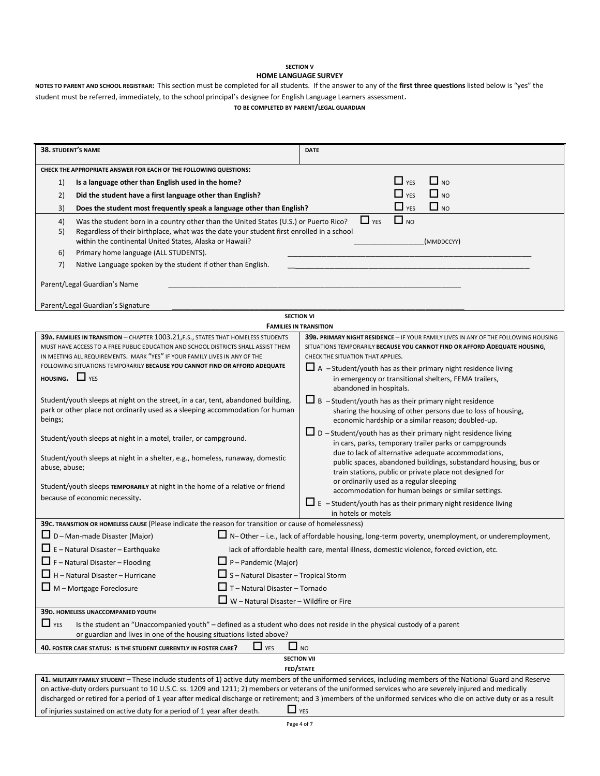#### **SECTION V HOME LANGUAGE SURVEY**

**NOTES TO PARENT AND SCHOOL REGISTRAR:** This section must be completed for all students. If the answer to any of the **first three questions** listed below is "yes" the student must be referred, immediately, to the school principal's designee for English Language Learners assessment. **TO BE COMPLETED BY PARENT/LEGAL GUARDIAN**

| 38. STUDENT'S NAME                                                                                                                                            | <b>DATE</b>                                                                                                                                                                                                                                                                                                                  |  |  |  |  |  |  |
|---------------------------------------------------------------------------------------------------------------------------------------------------------------|------------------------------------------------------------------------------------------------------------------------------------------------------------------------------------------------------------------------------------------------------------------------------------------------------------------------------|--|--|--|--|--|--|
| CHECK THE APPROPRIATE ANSWER FOR EACH OF THE FOLLOWING QUESTIONS:                                                                                             |                                                                                                                                                                                                                                                                                                                              |  |  |  |  |  |  |
| Is a language other than English used in the home?<br>1)                                                                                                      | $\Box$ YES<br>$\Box$ NO                                                                                                                                                                                                                                                                                                      |  |  |  |  |  |  |
| Did the student have a first language other than English?<br>2)                                                                                               | $\Box$ YES<br>$\Box$ NO                                                                                                                                                                                                                                                                                                      |  |  |  |  |  |  |
| Does the student most frequently speak a language other than English?<br>3)                                                                                   | $\Box$ YES<br>$\Box$ NO                                                                                                                                                                                                                                                                                                      |  |  |  |  |  |  |
| 4)<br>Was the student born in a country other than the United States (U.S.) or Puerto Rico?                                                                   | $\Box$ NO<br>$\Box$ YES                                                                                                                                                                                                                                                                                                      |  |  |  |  |  |  |
| Regardless of their birthplace, what was the date your student first enrolled in a school<br>5)                                                               |                                                                                                                                                                                                                                                                                                                              |  |  |  |  |  |  |
| within the continental United States, Alaska or Hawaii?                                                                                                       | (MMDDCCYY)                                                                                                                                                                                                                                                                                                                   |  |  |  |  |  |  |
| Primary home language (ALL STUDENTS).<br>6)                                                                                                                   |                                                                                                                                                                                                                                                                                                                              |  |  |  |  |  |  |
| Native Language spoken by the student if other than English.<br>7)                                                                                            |                                                                                                                                                                                                                                                                                                                              |  |  |  |  |  |  |
| Parent/Legal Guardian's Name                                                                                                                                  |                                                                                                                                                                                                                                                                                                                              |  |  |  |  |  |  |
|                                                                                                                                                               |                                                                                                                                                                                                                                                                                                                              |  |  |  |  |  |  |
| Parent/Legal Guardian's Signature                                                                                                                             |                                                                                                                                                                                                                                                                                                                              |  |  |  |  |  |  |
|                                                                                                                                                               | <b>SECTION VI</b><br><b>FAMILIES IN TRANSITION</b>                                                                                                                                                                                                                                                                           |  |  |  |  |  |  |
| 39A. FAMILIES IN TRANSITION - CHAPTER 1003.21, F.S., STATES THAT HOMELESS STUDENTS                                                                            | 39B. PRIMARY NIGHT RESIDENCE - IF YOUR FAMILY LIVES IN ANY OF THE FOLLOWING HOUSING                                                                                                                                                                                                                                          |  |  |  |  |  |  |
| MUST HAVE ACCESS TO A FREE PUBLIC EDUCATION AND SCHOOL DISTRICTS SHALL ASSIST THEM                                                                            | SITUATIONS TEMPORARILY BECAUSE YOU CANNOT FIND OR AFFORD ADEQUATE HOUSING,                                                                                                                                                                                                                                                   |  |  |  |  |  |  |
| IN MEETING ALL REQUIREMENTS. MARK "YES" IF YOUR FAMILY LIVES IN ANY OF THE                                                                                    | CHECK THE SITUATION THAT APPLIES.                                                                                                                                                                                                                                                                                            |  |  |  |  |  |  |
| FOLLOWING SITUATIONS TEMPORARILY BECAUSE YOU CANNOT FIND OR AFFORD ADEQUATE<br><b>HOUSING.</b> $\Box$ YES                                                     | $\Box$ A -Student/youth has as their primary night residence living                                                                                                                                                                                                                                                          |  |  |  |  |  |  |
|                                                                                                                                                               | in emergency or transitional shelters, FEMA trailers,<br>abandoned in hospitals.                                                                                                                                                                                                                                             |  |  |  |  |  |  |
| Student/youth sleeps at night on the street, in a car, tent, abandoned building,                                                                              | $\Box$ B -Student/youth has as their primary night residence                                                                                                                                                                                                                                                                 |  |  |  |  |  |  |
| park or other place not ordinarily used as a sleeping accommodation for human                                                                                 | sharing the housing of other persons due to loss of housing,                                                                                                                                                                                                                                                                 |  |  |  |  |  |  |
| beings;                                                                                                                                                       | economic hardship or a similar reason; doubled-up.                                                                                                                                                                                                                                                                           |  |  |  |  |  |  |
| Student/youth sleeps at night in a motel, trailer, or campground.                                                                                             | $\Box$ D - Student/youth has as their primary night residence living                                                                                                                                                                                                                                                         |  |  |  |  |  |  |
|                                                                                                                                                               | in cars, parks, temporary trailer parks or campgrounds<br>due to lack of alternative adequate accommodations,                                                                                                                                                                                                                |  |  |  |  |  |  |
| Student/youth sleeps at night in a shelter, e.g., homeless, runaway, domestic<br>abuse, abuse;                                                                | public spaces, abandoned buildings, substandard housing, bus or                                                                                                                                                                                                                                                              |  |  |  |  |  |  |
|                                                                                                                                                               | train stations, public or private place not designed for                                                                                                                                                                                                                                                                     |  |  |  |  |  |  |
| Student/youth sleeps TEMPORARILY at night in the home of a relative or friend                                                                                 | or ordinarily used as a regular sleeping<br>accommodation for human beings or similar settings.                                                                                                                                                                                                                              |  |  |  |  |  |  |
| because of economic necessity.                                                                                                                                | $\Box$ E - Student/youth has as their primary night residence living                                                                                                                                                                                                                                                         |  |  |  |  |  |  |
|                                                                                                                                                               | in hotels or motels                                                                                                                                                                                                                                                                                                          |  |  |  |  |  |  |
| 39c. TRANSITION OR HOMELESS CAUSE (Please indicate the reason for transition or cause of homelessness)                                                        |                                                                                                                                                                                                                                                                                                                              |  |  |  |  |  |  |
| $\Box$ D – Man-made Disaster (Major)                                                                                                                          | $\Box$ N-Other – i.e., lack of affordable housing, long-term poverty, unemployment, or underemployment,                                                                                                                                                                                                                      |  |  |  |  |  |  |
| $\Box$ E – Natural Disaster – Earthquake                                                                                                                      | lack of affordable health care, mental illness, domestic violence, forced eviction, etc.                                                                                                                                                                                                                                     |  |  |  |  |  |  |
| $\Box$ F – Natural Disaster – Flooding                                                                                                                        | $\Box$ P – Pandemic (Major)                                                                                                                                                                                                                                                                                                  |  |  |  |  |  |  |
| $\Box$ H - Natural Disaster - Hurricane                                                                                                                       | $\Box$ S - Natural Disaster - Tropical Storm                                                                                                                                                                                                                                                                                 |  |  |  |  |  |  |
| $\Box$ M – Mortgage Foreclosure                                                                                                                               | $\Box$ T - Natural Disaster - Tornado                                                                                                                                                                                                                                                                                        |  |  |  |  |  |  |
|                                                                                                                                                               | $\Box$ W – Natural Disaster – Wildfire or Fire                                                                                                                                                                                                                                                                               |  |  |  |  |  |  |
| 39D. HOMELESS UNACCOMPANIED YOUTH                                                                                                                             |                                                                                                                                                                                                                                                                                                                              |  |  |  |  |  |  |
| $\Box$ YES<br>or guardian and lives in one of the housing situations listed above?                                                                            | Is the student an "Unaccompanied youth" - defined as a student who does not reside in the physical custody of a parent                                                                                                                                                                                                       |  |  |  |  |  |  |
| 40. FOSTER CARE STATUS: IS THE STUDENT CURRENTLY IN FOSTER CARE?                                                                                              | $\Box$ NO<br>$\Box$ YES                                                                                                                                                                                                                                                                                                      |  |  |  |  |  |  |
|                                                                                                                                                               | <b>SECTION VII</b>                                                                                                                                                                                                                                                                                                           |  |  |  |  |  |  |
|                                                                                                                                                               | FED/STATE                                                                                                                                                                                                                                                                                                                    |  |  |  |  |  |  |
| 41. MILITARY FAMILY STUDENT - These include students of 1) active duty members of the uniformed services, including members of the National Guard and Reserve |                                                                                                                                                                                                                                                                                                                              |  |  |  |  |  |  |
|                                                                                                                                                               | on active-duty orders pursuant to 10 U.S.C. ss. 1209 and 1211; 2) members or veterans of the uniformed services who are severely injured and medically<br>discharged or retired for a period of 1 year after medical discharge or retirement; and 3 )members of the uniformed services who die on active duty or as a result |  |  |  |  |  |  |
| of injuries sustained on active duty for a period of 1 year after death.                                                                                      | $\Box$ YES                                                                                                                                                                                                                                                                                                                   |  |  |  |  |  |  |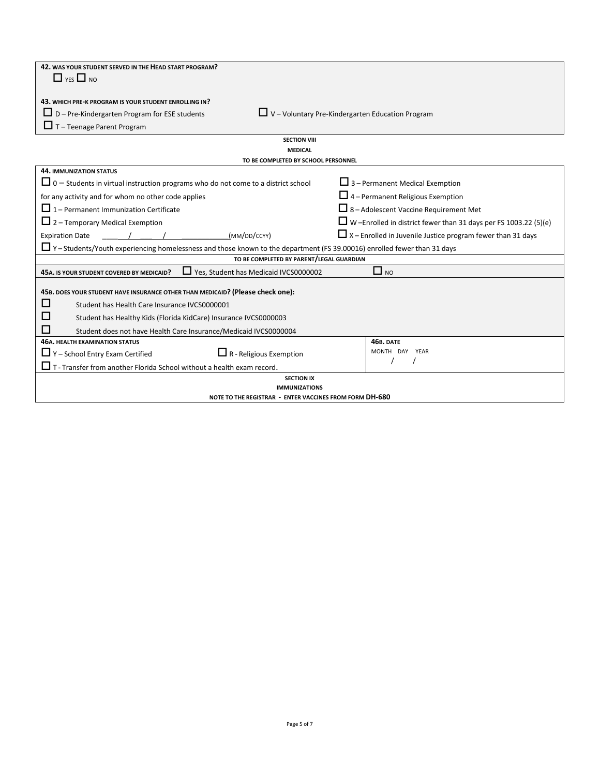| 42. WAS YOUR STUDENT SERVED IN THE HEAD START PROGRAM?                                                                          |                                                                         |  |  |  |  |  |
|---------------------------------------------------------------------------------------------------------------------------------|-------------------------------------------------------------------------|--|--|--|--|--|
| $\Box$ YES $\Box$ NO                                                                                                            |                                                                         |  |  |  |  |  |
|                                                                                                                                 |                                                                         |  |  |  |  |  |
| 43. WHICH PRE-K PROGRAM IS YOUR STUDENT ENROLLING IN?                                                                           |                                                                         |  |  |  |  |  |
| $\Box$ V - Voluntary Pre-Kindergarten Education Program<br>$\Box$ D – Pre-Kindergarten Program for ESE students                 |                                                                         |  |  |  |  |  |
| $\Box$ T – Teenage Parent Program                                                                                               |                                                                         |  |  |  |  |  |
| <b>SECTION VIII</b>                                                                                                             |                                                                         |  |  |  |  |  |
| <b>MEDICAL</b>                                                                                                                  |                                                                         |  |  |  |  |  |
| TO BE COMPLETED BY SCHOOL PERSONNEL                                                                                             |                                                                         |  |  |  |  |  |
| <b>44. IMMUNIZATION STATUS</b>                                                                                                  |                                                                         |  |  |  |  |  |
| $\Box$ 0 – Students in virtual instruction programs who do not come to a district school                                        | $\Box$ 3 – Permanent Medical Exemption                                  |  |  |  |  |  |
| for any activity and for whom no other code applies                                                                             | $\Box$ 4 – Permanent Religious Exemption                                |  |  |  |  |  |
| $\Box$ 1 – Permanent Immunization Certificate                                                                                   | $\Box$ 8 – Adolescent Vaccine Requirement Met                           |  |  |  |  |  |
| $\Box$ 2 – Temporary Medical Exemption                                                                                          | $\Box$ W -Enrolled in district fewer than 31 days per FS 1003.22 (5)(e) |  |  |  |  |  |
| (MM/DD/CCYY)<br><b>Expiration Date</b>                                                                                          | $\Box$ X – Enrolled in Juvenile Justice program fewer than 31 days      |  |  |  |  |  |
| $\Box$ Y – Students/Youth experiencing homelessness and those known to the department (FS 39.00016) enrolled fewer than 31 days |                                                                         |  |  |  |  |  |
| TO BE COMPLETED BY PARENT/LEGAL GUARDIAN                                                                                        |                                                                         |  |  |  |  |  |
| □ Yes, Student has Medicaid IVCS0000002<br>45A. IS YOUR STUDENT COVERED BY MEDICAID?                                            | $\Box$ NO                                                               |  |  |  |  |  |
|                                                                                                                                 |                                                                         |  |  |  |  |  |
| 45B. DOES YOUR STUDENT HAVE INSURANCE OTHER THAN MEDICAID? (Please check one):                                                  |                                                                         |  |  |  |  |  |
| П<br>Student has Health Care Insurance IVCS0000001                                                                              |                                                                         |  |  |  |  |  |
| Student has Healthy Kids (Florida KidCare) Insurance IVCS0000003                                                                |                                                                         |  |  |  |  |  |
| Student does not have Health Care Insurance/Medicaid IVCS0000004                                                                |                                                                         |  |  |  |  |  |
| <b>46A. HEALTH EXAMINATION STATUS</b><br><b>46B. DATE</b>                                                                       |                                                                         |  |  |  |  |  |
| $\Box$ Y – School Entry Exam Certified<br>$\Box$ R - Religious Exemption                                                        | MONTH DAY YEAR                                                          |  |  |  |  |  |
| $\Box$ T - Transfer from another Florida School without a health exam record.                                                   |                                                                         |  |  |  |  |  |
| <b>SECTION IX</b>                                                                                                               |                                                                         |  |  |  |  |  |
| <b>IMMUNIZATIONS</b>                                                                                                            |                                                                         |  |  |  |  |  |
| NOTE TO THE REGISTRAR - ENTER VACCINES FROM FORM DH-680                                                                         |                                                                         |  |  |  |  |  |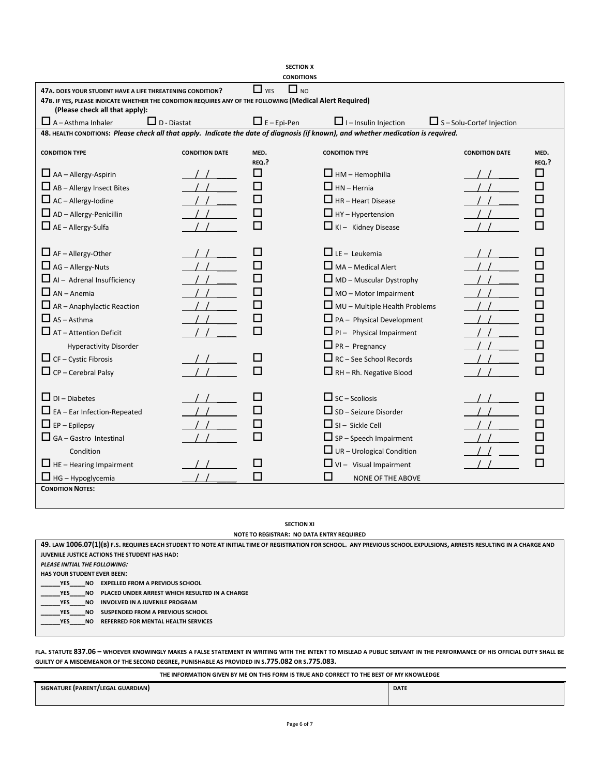|                                                                                                                                                                                                                                                                                                            |                       | <b>SECTION X</b><br><b>CONDITIONS</b> |                                                                                                                                                                                                                                                                                                                                 |                                  |               |
|------------------------------------------------------------------------------------------------------------------------------------------------------------------------------------------------------------------------------------------------------------------------------------------------------------|-----------------------|---------------------------------------|---------------------------------------------------------------------------------------------------------------------------------------------------------------------------------------------------------------------------------------------------------------------------------------------------------------------------------|----------------------------------|---------------|
| 47A, DOES YOUR STUDENT HAVE A LIFE THREATENING CONDITION?<br>47B. IF YES, PLEASE INDICATE WHETHER THE CONDITION REQUIRES ANY OF THE FOLLOWING (Medical Alert Required)<br>(Please check all that apply):                                                                                                   |                       | $\Box$ YES<br>$\Box$ NO               |                                                                                                                                                                                                                                                                                                                                 |                                  |               |
| $\Box$ A - Asthma Inhaler<br>$\Box$ D - Diastat                                                                                                                                                                                                                                                            |                       | $\Box$ E – Epi-Pen                    | $\Box$ I – Insulin Injection                                                                                                                                                                                                                                                                                                    | $\Box$ S – Solu-Cortef Injection |               |
| 48. HEALTH CONDITIONS: Please check all that apply. Indicate the date of diagnosis (if known), and whether medication is required.                                                                                                                                                                         |                       |                                       |                                                                                                                                                                                                                                                                                                                                 |                                  |               |
| <b>CONDITION TYPE</b>                                                                                                                                                                                                                                                                                      | <b>CONDITION DATE</b> | MED.<br>REQ.?                         | <b>CONDITION TYPE</b>                                                                                                                                                                                                                                                                                                           | <b>CONDITION DATE</b>            | MED.<br>REQ.? |
| $\Box$ AA – Allergy-Aspirin                                                                                                                                                                                                                                                                                |                       | П                                     | $\Box$ HM – Hemophilia                                                                                                                                                                                                                                                                                                          |                                  | ш             |
| $\Box$ AB – Allergy Insect Bites                                                                                                                                                                                                                                                                           |                       | H                                     | $\Box$ HN - Hernia                                                                                                                                                                                                                                                                                                              |                                  |               |
| $\Box$ AC – Allergy-lodine                                                                                                                                                                                                                                                                                 |                       | H                                     | $\Box$ HR - Heart Disease                                                                                                                                                                                                                                                                                                       |                                  |               |
| $\Box$ AD – Allergy-Penicillin                                                                                                                                                                                                                                                                             |                       | H                                     | $\Box$ HY – Hypertension                                                                                                                                                                                                                                                                                                        |                                  |               |
| $\Box$ AE – Allergy-Sulfa                                                                                                                                                                                                                                                                                  |                       | П                                     | $\Box$ KI - Kidney Disease                                                                                                                                                                                                                                                                                                      |                                  |               |
| $\Box$ AF – Allergy-Other<br>$\Box$ AG – Allergy-Nuts<br>$\Box$ Al – Adrenal Insufficiency<br>$\Box$ AN – Anemia<br>$\Box$ AR - Anaphylactic Reaction<br>$\Box$ AS - Asthma<br>$\Box$ AT - Attention Deficit<br><b>Hyperactivity Disorder</b><br>$\Box$ CF – Cystic Fibrosis<br>$\Box$ CP – Cerebral Palsy |                       | ΙI<br>П<br>H<br>П<br>ΙI<br>П          | $\Box$ LE - Leukemia<br>$\Box$ MA - Medical Alert<br>$\Box$ MD – Muscular Dystrophy<br>$\Box$ MO – Motor Impairment<br>$\Box$ MU – Multiple Health Problems<br>$\Box$ PA - Physical Development<br>$\Box$ PI - Physical Impairment<br>$\Box$ PR – Pregnancy<br>$\Box$ RC – See School Records<br>$\Box$ RH – Rh. Negative Blood |                                  |               |
| $\Box$ DI – Diabetes<br>EA - Ear Infection-Repeated<br>$\Box$ EP – Epilepsy<br>$\Box$ GA – Gastro Intestinal<br>Condition<br>$\Box$ HE - Hearing Impairment<br>$\Box$ HG – Hypoglycemia                                                                                                                    |                       | ΙI<br>П                               | $\Box$ SC – Scoliosis<br>$\Box$ SD – Seizure Disorder<br>$\Box$ SI – Sickle Cell<br>$\Box$ SP – Speech Impairment<br>$\Box$ UR - Urological Condition<br>$\Box$ VI - Visual Impairment<br>ΙI<br><b>NONE OF THE ABOVE</b>                                                                                                        |                                  |               |
| <b>CONDITION NOTES:</b>                                                                                                                                                                                                                                                                                    |                       |                                       |                                                                                                                                                                                                                                                                                                                                 |                                  |               |

## **SECTION XI**

**NOTE TO REGISTRAR: NO DATA ENTRY REQUIRED**

| 49. LAW 1006.07(1)(B) F.S. REQUIRES EACH STUDENT TO NOTE AT INITIAL TIME OF REGISTRATION FOR SCHOOL. ANY PREVIOUS SCHOOL EXPULSIONS, ARRESTS RESULTING IN A CHARGE AND |  |  |  |  |  |  |
|------------------------------------------------------------------------------------------------------------------------------------------------------------------------|--|--|--|--|--|--|
| JUVENILE JUSTICE ACTIONS THE STUDENT HAS HAD:                                                                                                                          |  |  |  |  |  |  |
| PLEASE INITIAL THE FOLLOWING:                                                                                                                                          |  |  |  |  |  |  |
| <b>HAS YOUR STUDENT EVER BEEN:</b>                                                                                                                                     |  |  |  |  |  |  |
| <b>EXPELLED FROM A PREVIOUS SCHOOL</b><br>YES.<br>NO.                                                                                                                  |  |  |  |  |  |  |
| PLACED UNDER ARREST WHICH RESULTED IN A CHARGE<br><b>YES</b><br>NO.                                                                                                    |  |  |  |  |  |  |
| INVOLVED IN A JUVENILE PROGRAM<br>NO.<br>YES.                                                                                                                          |  |  |  |  |  |  |
| SUSPENDED FROM A PREVIOUS SCHOOL<br><b>YES</b><br>NO.                                                                                                                  |  |  |  |  |  |  |
| <b>REFERRED FOR MENTAL HEALTH SERVICES</b><br><b>YES</b><br>NO.                                                                                                        |  |  |  |  |  |  |
|                                                                                                                                                                        |  |  |  |  |  |  |

**FLA. STATUTE 837.06 – WHOEVER KNOWINGLY MAKES A FALSE STATEMENT IN WRITING WITH THE INTENT TO MISLEAD A PUBLIC SERVANT IN THE PERFORMANCE OF HIS OFFICIAL DUTY SHALL BE GUILTY OF A MISDEMEANOR OF THE SECOND DEGREE, PUNISHABLE AS PROVIDED IN S.775.082 OR S.775.083.**

**THE INFORMATION GIVEN BY ME ON THIS FORM IS TRUE AND CORRECT TO THE BEST OF MY KNOWLEDGE**

| SIGNATURE (PARENT/LEGAL GUARDIAN) | <b>DATE</b> |
|-----------------------------------|-------------|
|                                   |             |